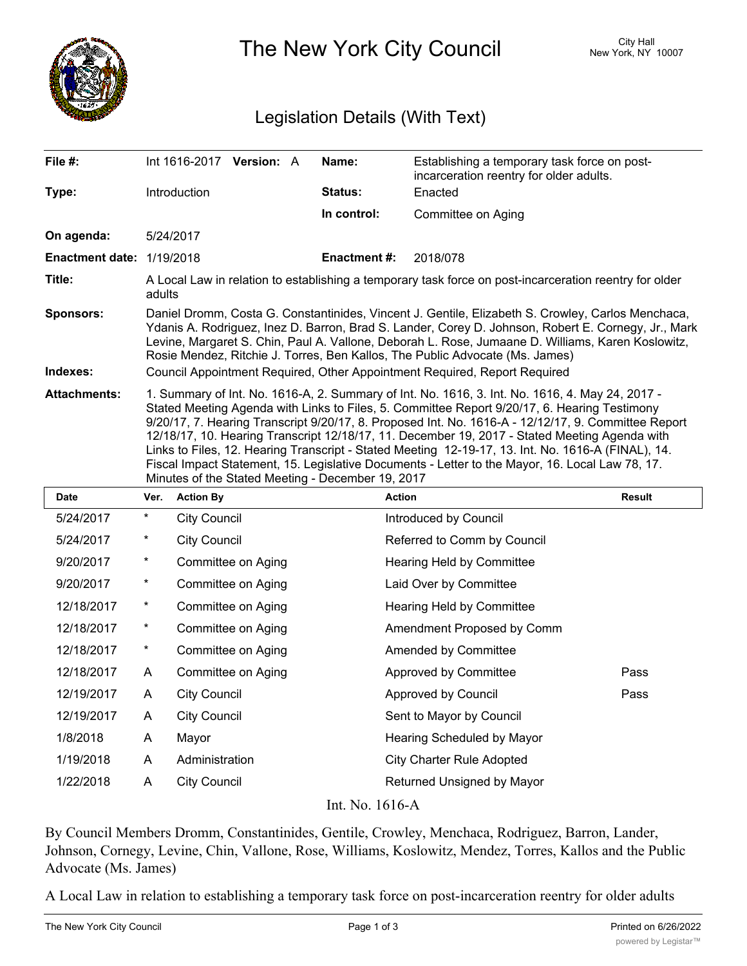

The New York City Council New York, NY 10007

## Legislation Details (With Text)

| File #:                          | Int 1616-2017 Version: A                                                                                                                                                                                                                                                                                                                                                                                                                                                                                                                                                                                                                                              |  |  | Name:               | Establishing a temporary task force on post-<br>incarceration reentry for older adults. |  |  |
|----------------------------------|-----------------------------------------------------------------------------------------------------------------------------------------------------------------------------------------------------------------------------------------------------------------------------------------------------------------------------------------------------------------------------------------------------------------------------------------------------------------------------------------------------------------------------------------------------------------------------------------------------------------------------------------------------------------------|--|--|---------------------|-----------------------------------------------------------------------------------------|--|--|
| Type:                            | Introduction                                                                                                                                                                                                                                                                                                                                                                                                                                                                                                                                                                                                                                                          |  |  | Status:             | Enacted                                                                                 |  |  |
|                                  |                                                                                                                                                                                                                                                                                                                                                                                                                                                                                                                                                                                                                                                                       |  |  | In control:         | Committee on Aging                                                                      |  |  |
| On agenda:                       | 5/24/2017                                                                                                                                                                                                                                                                                                                                                                                                                                                                                                                                                                                                                                                             |  |  |                     |                                                                                         |  |  |
| <b>Enactment date: 1/19/2018</b> |                                                                                                                                                                                                                                                                                                                                                                                                                                                                                                                                                                                                                                                                       |  |  | <b>Enactment #:</b> | 2018/078                                                                                |  |  |
| Title:                           | A Local Law in relation to establishing a temporary task force on post-incarceration reentry for older<br>adults                                                                                                                                                                                                                                                                                                                                                                                                                                                                                                                                                      |  |  |                     |                                                                                         |  |  |
| <b>Sponsors:</b>                 | Daniel Dromm, Costa G. Constantinides, Vincent J. Gentile, Elizabeth S. Crowley, Carlos Menchaca,<br>Ydanis A. Rodriguez, Inez D. Barron, Brad S. Lander, Corey D. Johnson, Robert E. Cornegy, Jr., Mark<br>Levine, Margaret S. Chin, Paul A. Vallone, Deborah L. Rose, Jumaane D. Williams, Karen Koslowitz,<br>Rosie Mendez, Ritchie J. Torres, Ben Kallos, The Public Advocate (Ms. James)                                                                                                                                                                                                                                                                         |  |  |                     |                                                                                         |  |  |
| Indexes:                         | Council Appointment Required, Other Appointment Required, Report Required                                                                                                                                                                                                                                                                                                                                                                                                                                                                                                                                                                                             |  |  |                     |                                                                                         |  |  |
| <b>Attachments:</b>              | 1. Summary of Int. No. 1616-A, 2. Summary of Int. No. 1616, 3. Int. No. 1616, 4. May 24, 2017 -<br>Stated Meeting Agenda with Links to Files, 5. Committee Report 9/20/17, 6. Hearing Testimony<br>9/20/17, 7. Hearing Transcript 9/20/17, 8. Proposed Int. No. 1616-A - 12/12/17, 9. Committee Report<br>12/18/17, 10. Hearing Transcript 12/18/17, 11. December 19, 2017 - Stated Meeting Agenda with<br>Links to Files, 12. Hearing Transcript - Stated Meeting 12-19-17, 13. Int. No. 1616-A (FINAL), 14.<br>Fiscal Impact Statement, 15. Legislative Documents - Letter to the Mayor, 16. Local Law 78, 17.<br>Minutes of the Stated Meeting - December 19, 2017 |  |  |                     |                                                                                         |  |  |

| Date                                       | Ver.     | <b>Action By</b>    | <b>Action</b>                    | <b>Result</b> |  |  |  |  |
|--------------------------------------------|----------|---------------------|----------------------------------|---------------|--|--|--|--|
| 5/24/2017                                  | $\ast$   | <b>City Council</b> | Introduced by Council            |               |  |  |  |  |
| 5/24/2017                                  | $^\star$ | <b>City Council</b> | Referred to Comm by Council      |               |  |  |  |  |
| 9/20/2017                                  | $\star$  | Committee on Aging  | Hearing Held by Committee        |               |  |  |  |  |
| 9/20/2017                                  | $^\star$ | Committee on Aging  | Laid Over by Committee           |               |  |  |  |  |
| 12/18/2017                                 | $\star$  | Committee on Aging  | Hearing Held by Committee        |               |  |  |  |  |
| 12/18/2017                                 | $^\star$ | Committee on Aging  | Amendment Proposed by Comm       |               |  |  |  |  |
| 12/18/2017                                 | $\ast$   | Committee on Aging  | Amended by Committee             |               |  |  |  |  |
| 12/18/2017                                 | A        | Committee on Aging  | Approved by Committee            | Pass          |  |  |  |  |
| 12/19/2017                                 | A        | <b>City Council</b> | Approved by Council              | Pass          |  |  |  |  |
| 12/19/2017                                 | A        | <b>City Council</b> | Sent to Mayor by Council         |               |  |  |  |  |
| 1/8/2018                                   | A        | Mayor               | Hearing Scheduled by Mayor       |               |  |  |  |  |
| 1/19/2018                                  | A        | Administration      | <b>City Charter Rule Adopted</b> |               |  |  |  |  |
| 1/22/2018                                  | A        | <b>City Council</b> | Returned Unsigned by Mayor       |               |  |  |  |  |
| <b>T.P.</b><br>$\sim$ $\sim$ $\sim$ $\sim$ |          |                     |                                  |               |  |  |  |  |

Int. No. 1616-A

By Council Members Dromm, Constantinides, Gentile, Crowley, Menchaca, Rodriguez, Barron, Lander, Johnson, Cornegy, Levine, Chin, Vallone, Rose, Williams, Koslowitz, Mendez, Torres, Kallos and the Public Advocate (Ms. James)

A Local Law in relation to establishing a temporary task force on post-incarceration reentry for older adults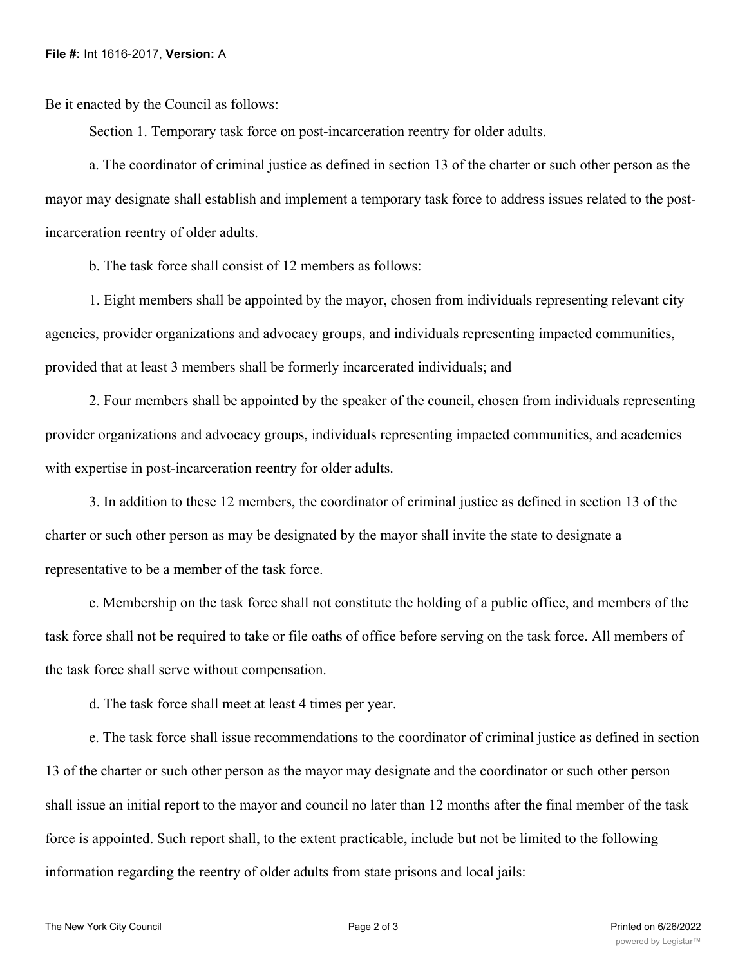## **File #:** Int 1616-2017, **Version:** A

Be it enacted by the Council as follows:

Section 1. Temporary task force on post-incarceration reentry for older adults.

a. The coordinator of criminal justice as defined in section 13 of the charter or such other person as the mayor may designate shall establish and implement a temporary task force to address issues related to the postincarceration reentry of older adults.

b. The task force shall consist of 12 members as follows:

1. Eight members shall be appointed by the mayor, chosen from individuals representing relevant city agencies, provider organizations and advocacy groups, and individuals representing impacted communities, provided that at least 3 members shall be formerly incarcerated individuals; and

2. Four members shall be appointed by the speaker of the council, chosen from individuals representing provider organizations and advocacy groups, individuals representing impacted communities, and academics with expertise in post-incarceration reentry for older adults.

3. In addition to these 12 members, the coordinator of criminal justice as defined in section 13 of the charter or such other person as may be designated by the mayor shall invite the state to designate a representative to be a member of the task force.

c. Membership on the task force shall not constitute the holding of a public office, and members of the task force shall not be required to take or file oaths of office before serving on the task force. All members of the task force shall serve without compensation.

d. The task force shall meet at least 4 times per year.

e. The task force shall issue recommendations to the coordinator of criminal justice as defined in section 13 of the charter or such other person as the mayor may designate and the coordinator or such other person shall issue an initial report to the mayor and council no later than 12 months after the final member of the task force is appointed. Such report shall, to the extent practicable, include but not be limited to the following information regarding the reentry of older adults from state prisons and local jails: